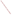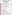# **PRESIDENT BUSH ANNOUNCES CLEAR SKIES & GLOBAL CLIMATE CHANGE INITIATIVES**

### **TODAY'S PRESIDENTIAL ACTION**

**Today the President will unveil the most aggressive initiative in American history to cut power plant emissions, as well as a bold new strategy for addressing global climate change.**

- ˛ **The Clear Skies Initiative.** Cuts power plant emissions of the three worst air pollutants nitrogen oxides, sulfur dioxide, and mercury – by 70 percent. The initiative will improve air quality using a proven, market-based approach.
- ˛ **Global Climate Change.** Commits America to an aggressive strategy to cut greenhouse gas intensity by 18% over the next 10 years. The initiative also supports vital climate change research and ensures that America's workers and citizens of the developing world are not unfairly penalized.

## **THE CLEAR SKIES INITIATIVE**

### **Dramatically & Steadily Cuts Power Plant Emissions of Three of the Worst Air Pollutants:**

- $\boxtimes$  Cuts sulfur dioxide (SO2) emissions by 73 percent, from current emissions of 11 million tons to a cap of 4.5 million tons in 2010, and 3 million tons in 2018.
- $\boxtimes$  Cuts emissions of nitrogen oxides (NOx) by 67 percent, from current emissions of 5 million tons to a cap of 2.1 million tons in 2008, and to 1.7 million tons in 2018.
- $\boxtimes$  Cuts mercury emissions by 69 percent the first-ever national cap on mercury emissions. Emissions will be cut from current emissions of 48 tons to a cap of 26 tons in 2010, and 15 tons in 2018.

#### **Uses a Proven Market-Based Approach:**

- $\boxtimes$  Protects Americans from respiratory and cardiovascular diseases by dramatically reducing smog, acid rain, fine particles, regional haze, nitrogen and mercury deposition.
- $\boxtimes$  Protects our wildlife, habitats and ecosystem health.
- $\boxtimes$  Cuts pollution further, faster, cheaper, and with more certainty, using a "cap-and trade" program, replacing a cycle of endless litigation with rapid and certain improvements in air quality.
- $\boxtimes$  Saves as much as \$1 billion annually in compliance costs that are passed along to American consumers, and improves air quality and protects the reliability and affordability of electricity.
- $\boxtimes$  Uses the model of our most successful clean air law the 1990 Clean Air Act's acid rain program and encourages use of new and cleaner pollution control technologies.

### **A NEW APPROACH ON GLOBAL CLIMATE CHANGE**

The President has committed America to an aggressive new strategy to cut greenhouse gas intensity by 18% over the next 10 years. The initiative also supports vital climate change research and ensures that America's workers and citizens of the developing world are not unfairly penalized. The President's initiative puts America on a path to slow the growth of greenhouse gas emissions, and – as the science justifies – to stop, and then reverse that growth.